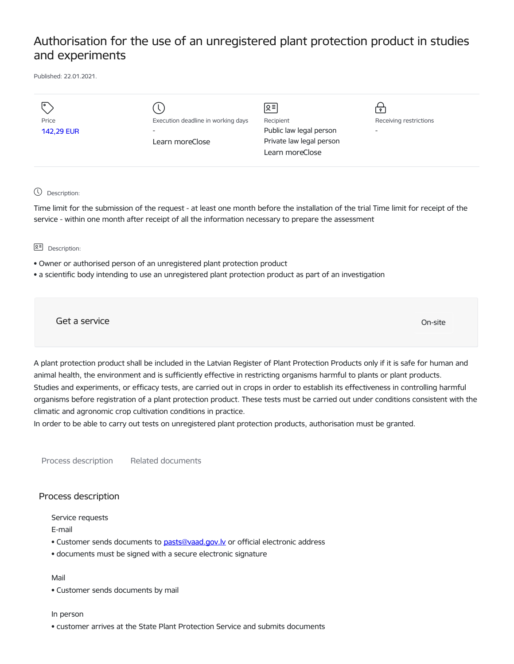## Authorisation for the use of an unregistered plant protection product in studies and experiments

Published: 22.01.2021.

| Price<br><b>142,29 EUR</b> | Execution deadline in working days<br>Learn moreClose | 의<br>Recipient<br>Public law legal person<br>Private law legal person<br>Learn moreClose | $\mathbf{\bullet}$<br>Receiving restrictions<br>$\overline{\phantom{a}}$ |
|----------------------------|-------------------------------------------------------|------------------------------------------------------------------------------------------|--------------------------------------------------------------------------|
|                            |                                                       |                                                                                          |                                                                          |

Description:

Time limit for the submission of the request - at least one month before the installation of the trial Time limit for receipt of the service - within one month after receipt of all the information necessary to prepare the assessment

요<sup>리</sup> Description:

- Owner or authorised person of an unregistered plant protection product
- a scientific body intending to use an unregistered plant protection product as part of an investigation

Get a service On-site

A plant protection product shall be included in the Latvian Register of Plant Protection Products only if it is safe for human and animal health, the environment and is sufficiently effective in restricting organisms harmful to plants or plant products. Studies and experiments, or efficacy tests, are carried out in crops in order to establish its effectiveness in controlling harmful organisms before registration of a plant protection product. These tests must be carried out under conditions consistent with the climatic and agronomic crop cultivation conditions in practice.

In order to be able to carry out tests on unregistered plant protection products, authorisation must be granted.

Process description Related documents

## Process description

Service requests

E-mail

- Customer sends documents to [pasts@vaad.gov.lv](mailto:pasts@vaad.gov.lv) or official electronic address
- documents must be signed with a secure electronic signature

## Mail

• Customer sends documents by mail

## In person

• customer arrives at the State Plant Protection Service and submits documents